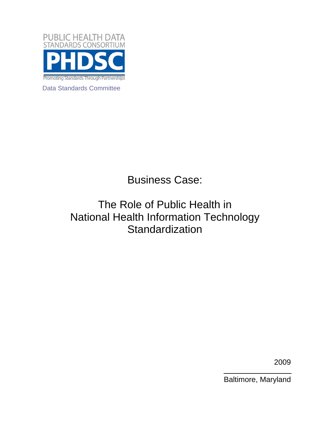

Data Standards Committee

Business Case:

## The Role of Public Health in National Health Information Technology **Standardization**

2009

Baltimore, Maryland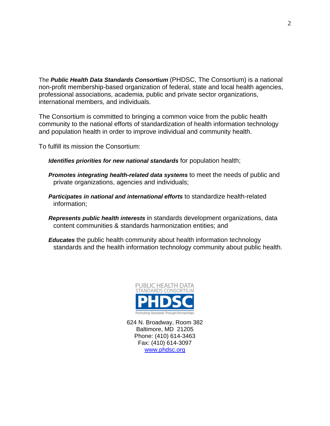The *Public Health Data Standards Consortium* (PHDSC, The Consortium) is a national non-profit membership-based organization of federal, state and local health agencies, professional associations, academia, public and private sector organizations, international members, and individuals.

The Consortium is committed to bringing a common voice from the public health community to the national efforts of standardization of health information technology and population health in order to improve individual and community health.

To fulfill its mission the Consortium:

*Identifies priorities for new national standards* for population health;

- *Promotes integrating health-related data systems* to meet the needs of public and private organizations, agencies and individuals;
- *Participates in national and international efforts* to standardize health-related information;
- *Represents public health interests* in standards development organizations, data content communities & standards harmonization entities; and
- *Educates* the public health community about health information technology standards and the health information technology community about public health.



624 N. Broadway, Room 382 Baltimore, MD 21205 Phone: (410) 614-3463 Fax: (410) 614-3097 www.phdsc.org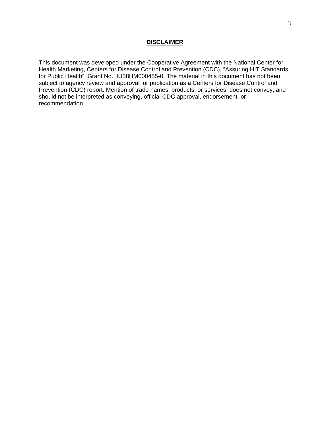## **DISCLAIMER**

This document was developed under the Cooperative Agreement with the National Center for Health Marketing, Centers for Disease Control and Prevention (CDC), "Assuring HIT Standards for Public Health", Grant No.: IU38HM000455-0. The material in this document has not been subject to agency review and approval for publication as a Centers for Disease Control and Prevention (CDC) report. Mention of trade names, products, or services, does not convey, and should not be interpreted as conveying, official CDC approval, endorsement, or recommendation.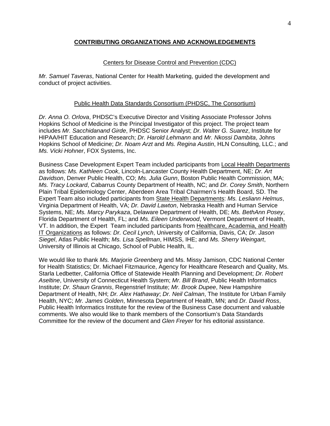## **CONTRIBUTING ORGANIZATIONS AND ACKNOWLEDGEMENTS**

## Centers for Disease Control and Prevention (CDC)

*Mr. Samuel Taveras*, National Center for Health Marketing, guided the development and conduct of project activities.

## Public Health Data Standards Consortium (PHDSC, The Consortium)

*Dr. Anna O. Orlova*, PHDSC's Executive Director and Visiting Associate Professor Johns Hopkins School of Medicine is the Principal Investigator of this project. The project team includes *Mr. Sacchidanand Girde*, PHDSC Senior Analyst; *Dr. Walter G. Suarez*, Institute for HIPAA/HIT Education and Research; *Dr. Harold Lehmann* and *Mr. Nkossi Dambita*, Johns Hopkins School of Medicine; *Dr. Noam Arzt* and *Ms. Regina Austin*, HLN Consulting, LLC.; and *Ms. Vicki Hohner*, FOX Systems, Inc.

Business Case Development Expert Team included participants from Local Health Departments as follows: *Ms. Kathleen Cook*, Lincoln-Lancaster County Health Department, NE; *Dr. Art Davidson*, Denver Public Health, CO; *Ms. Julia Gunn*, Boston Public Health Commission, MA; *Ms. Tracy Lockard*, Cabarrus County Department of Health, NC; and *Dr. Corey Smith*, Northern Plain Tribal Epidemiology Center, Aberdeen Area Tribal Chairmen's Health Board, SD. The Expert Team also included participants from State Health Departments: *Ms. Lesliann Helmus*, Virginia Department of Health, VA; *Dr. David Lawton*, Nebraska Health and Human Service Systems, NE; *Ms. Marcy Parykaza*, Delaware Department of Health, DE; *Ms. BethAnn Posey*, Florida Department of Health, FL; and *Ms. Eileen Underwood*, Vermont Department of Health, VT. In addition, the Expert Team included participants from Healthcare, Academia, and Health IT Organizations as follows: *Dr. Cecil Lynch*, University of California, Davis, CA; *Dr. Jason Siegel*, Atlas Public Health; *Ms. Lisa Spellman*, HIMSS, IHE; and *Ms. Sherry Weingart*, University of Illinois at Chicago, School of Public Health, IL.

We would like to thank *Ms. Marjorie Greenberg* and Ms. Missy Jamison, CDC National Center for Health Statistics; Dr. Michael Fitzmaurice, Agency for Healthcare Research and Quality, Ms. Starla Ledbetter, California Office of Statewide Health Planning and Development; *Dr. Robert Aseltine*, University of Connecticut Health System; *Mr. Bill Brand*, Public Health Informatics Institute; *Dr. Shaun Grannis*, Regenstrief Institute; *Mr. Brook Dupee*, New Hampshire Department of Health, NH; *Dr. Alex Hathaway*; *Dr. Neil Calman*, The Institute for Urban Family Health, NYC; *Mr. James Golden*, Minnesota Department of Health, MN; and *Dr. David Ross*, Public Health Informatics Institute for the review of the Business Case document and valuable comments. We also would like to thank members of the Consortium's Data Standards Committee for the review of the document and *Glen Freyer* for his editorial assistance.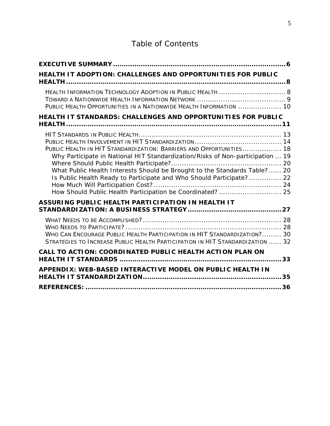## Table of Contents

| HEALTH IT ADOPTION: CHALLENGES AND OPPORTUNITIES FOR PUBLIC                                                                                                                                                                                                                                                                                                             |    |
|-------------------------------------------------------------------------------------------------------------------------------------------------------------------------------------------------------------------------------------------------------------------------------------------------------------------------------------------------------------------------|----|
| HEALTH INFORMATION TECHNOLOGY ADOPTION IN PUBLIC HEALTH  8<br>PUBLIC HEALTH OPPORTUNITIES IN A NATIONWIDE HEALTH INFORMATION  10                                                                                                                                                                                                                                        |    |
| HEALTH IT STANDARDS: CHALLENGES AND OPPORTUNITIES FOR PUBLIC                                                                                                                                                                                                                                                                                                            |    |
| PUBLIC HEALTH IN HIT STANDARDIZATION: BARRIERS AND OPPORTUNITIES 18<br>Why Participate in National HIT Standardization/Risks of Non-participation  19<br>What Public Health Interests Should be Brought to the Standards Table? 20<br>Is Public Health Ready to Participate and Who Should Participate? 22<br>How Should Public Health Participation be Coordinated? 25 |    |
| ASSURING PUBLIC HEALTH PARTICIPATION IN HEALTH IT                                                                                                                                                                                                                                                                                                                       |    |
| WHO CAN ENCOURAGE PUBLIC HEALTH PARTICIPATION IN HIT STANDARDIZATION? 30<br>STRATEGIES TO INCREASE PUBLIC HEALTH PARTICIPATION IN HIT STANDARDIZATION  32                                                                                                                                                                                                               |    |
| CALL TO ACTION: COORDINATED PUBLIC HEALTH ACTION PLAN ON                                                                                                                                                                                                                                                                                                                | 33 |
| APPENDIX: WEB-BASED INTERACTIVE MODEL ON PUBLIC HEALTH IN                                                                                                                                                                                                                                                                                                               | 35 |
|                                                                                                                                                                                                                                                                                                                                                                         |    |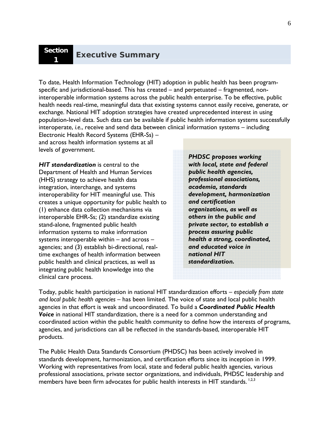To date, Health Information Technology (HIT) adoption in public health has been programspecific and jurisdictional-based. This has created – and perpetuated – fragmented, noninteroperable information systems across the public health enterprise. To be effective, public health needs real-time, meaningful data that existing systems cannot easily receive, generate, or exchange. National HIT adoption strategies have created unprecedented interest in using population-level data. Such data can be available if public health information systems successfully interoperate, *i.e.*, receive and send data between clinical information systems – including

Electronic Health Record Systems (EHR-Ss) – and across health information systems at all levels of government.

*HIT standardization* is central to the Department of Health and Human Services (HHS) strategy to achieve health data integration, interchange, and systems interoperability for HIT meaningful use. This creates a unique opportunity for public health to (1) enhance data collection mechanisms via interoperable EHR-Ss; (2) standardize existing stand-alone, fragmented public health information systems to make information systems interoperable within – and across – agencies; and (3) establish bi-directional, realtime exchanges of health information between public health and clinical practices, as well as integrating public health knowledge into the clinical care process.

*PHDSC proposes working with local, state and federal public health agencies, professional associations, academia, standards development, harmonization and certification organizations, as well as others in the public and private sector, to establish a process assuring public health a strong, coordinated, and educated voice in national HIT standardization.*

Today, public health participation in national HIT standardization efforts – *especially from state and local public health agencies* – has been limited. The voice of state and local public health agencies in that effort is weak and uncoordinated. To build a *Coordinated Public Health Voice* in national HIT standardization, there is a need for a common understanding and coordinated action within the public health community to define how the interests of programs, agencies, and jurisdictions can all be reflected in the standards-based, interoperable HIT products.

The Public Health Data Standards Consortium (PHDSC) has been actively involved in standards development, harmonization, and certification efforts since its inception in 1999. Working with representatives from local, state and federal public health agencies, various professional associations, private sector organizations, and individuals, PHDSC leadership and members have been firm advocates for public health interests in HIT standards.<sup>1,2,3</sup>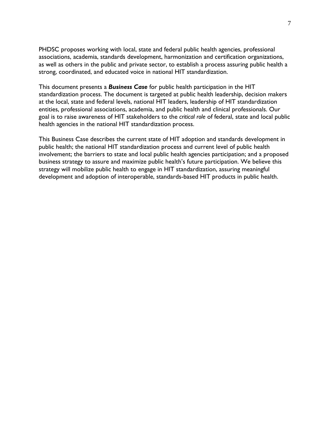PHDSC proposes working with local, state and federal public health agencies, professional associations, academia, standards development, harmonization and certification organizations, as well as others in the public and private sector, to establish a process assuring public health a strong, coordinated, and educated voice in national HIT standardization.

This document presents a *Business Case* for public health participation in the HIT standardization process. The document is targeted at public health leadership, decision makers at the local, state and federal levels, national HIT leaders, leadership of HIT standardization entities, professional associations, academia, and public health and clinical professionals. Our goal is to raise awareness of HIT stakeholders to the *critical role* of federal, state and local public health agencies in the national HIT standardization process.

This Business Case describes the current state of HIT adoption and standards development in public health; the national HIT standardization process and current level of public health involvement; the barriers to state and local public health agencies participation; and a proposed business strategy to assure and maximize public health's future participation. We believe this strategy will mobilize public health to engage in HIT standardization, assuring meaningful development and adoption of interoperable, standards-based HIT products in public health.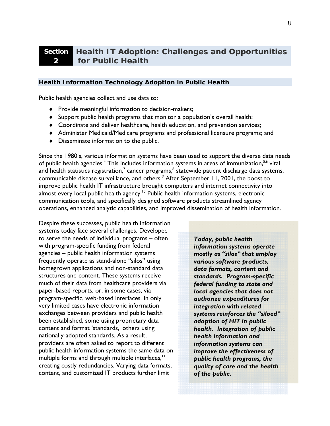#### **Section 2 Health IT Adoption: Challenges and Opportunities for Public Health**

## *Health Information Technology Adoption in Public Health*

Public health agencies collect and use data to:

- Provide meaningful information to decision-makers;
- Support public health programs that monitor a population's overall health;
- Coordinate and deliver healthcare, health education, and prevention services;
- Administer Medicaid/Medicare programs and professional licensure programs; and
- Disseminate information to the public.

Since the 1980's, various information systems have been used to support the diverse data needs of public health agencies.<sup>4</sup> This includes information systems in areas of immunization,<sup>5,6</sup> vital and health statistics registration,<sup>7</sup> cancer programs, $^8$  statewide patient discharge data systems, communicable disease surveillance, and others.<sup>9</sup> After September 11, 2001, the boost to improve public health IT infrastructure brought computers and internet connectivity into almost every local public health agency.<sup>10</sup> Public health information systems, electronic communication tools, and specifically designed software products streamlined agency operations, enhanced analytic capabilities, and improved dissemination of health information.

Despite these successes, public health information systems today face several challenges. Developed to serve the needs of individual programs – often with program-specific funding from federal agencies – public health information systems frequently operate as stand-alone "silos" using homegrown applications and non-standard data structures and content. These systems receive much of their data from healthcare providers via paper-based reports, or, in some cases, via program-specific, web-based interfaces. In only very limited cases have electronic information exchanges between providers and public health been established, some using proprietary data content and format 'standards,' others using nationally-adopted standards. As a result, providers are often asked to report to different public health information systems the same data on multiple forms and through multiple interfaces,<sup>11</sup> creating costly redundancies. Varying data formats, content, and customized IT products further limit

*Today, public health information systems operate mostly as "silos" that employ various software products, data formats, content and standards. Program-specific federal funding to state and local agencies that does not authorize expenditures for integration with related systems reinforces the "siloed" adoption of HIT in public health. Integration of public health information and information systems can improve the effectiveness of public health programs, the quality of care and the health of the public.*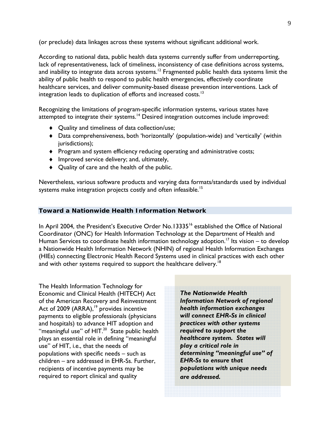(or preclude) data linkages across these systems without significant additional work.

According to national data, public health data systems currently suffer from underreporting, lack of representativeness, lack of timeliness, inconsistency of case definitions across systems, and inability to integrate data across systems.<sup>12</sup> Fragmented public health data systems limit the ability of public health to respond to public health emergencies, effectively coordinate healthcare services, and deliver community-based disease prevention interventions. Lack of integration leads to duplication of efforts and increased costs.<sup>13</sup>

Recognizing the limitations of program-specific information systems, various states have attempted to integrate their systems.<sup>14</sup> Desired integration outcomes include improved:

- ◆ **Quality and timeliness of data collection/use;**
- Data comprehensiveness, both 'horizontally' (population-wide) and 'vertically' (within jurisdictions);
- $\bullet$  Program and system efficiency reducing operating and administrative costs;
- Improved service delivery; and, ultimately,
- Quality of care and the health of the public.

Nevertheless, various software products and varying data formats/standards used by individual systems make integration projects costly and often infeasible.<sup>15</sup>

## *Toward a Nationwide Health Information Network*

In April 2004, the President's Executive Order No.13335<sup>16</sup> established the Office of National Coordinator (ONC) for Health Information Technology at the Department of Health and Human Services to coordinate health information technology adoption.<sup>17</sup> Its vision – to develop a Nationwide Health Information Network (NHIN) of regional Health Information Exchanges (HIEs) connecting Electronic Health Record Systems used in clinical practices with each other and with other systems required to support the healthcare delivery.<sup>18</sup>

The Health Information Technology for Economic and Clinical Health (HITECH) Act of the American Recovery and Reinvestment Act of 2009  $(ARRA),<sup>19</sup>$  provides incentive payments to eligible professionals (physicians and hospitals) to advance HIT adoption and "meaningful use" of HIT.<sup>20</sup> State public health plays an essential role in defining "meaningful use" of HIT, i.e., that the needs of populations with specific needs – such as children – are addressed in EHR-Ss. Further, recipients of incentive payments may be required to report clinical and quality

*The Nationwide Health Information Network of regional health information exchanges will connect EHR-Ss in clinical practices with other systems required to support the healthcare system. States will play a critical role in determining "meaningful use" of EHR-Ss to ensure that populations with unique needs are addressed.*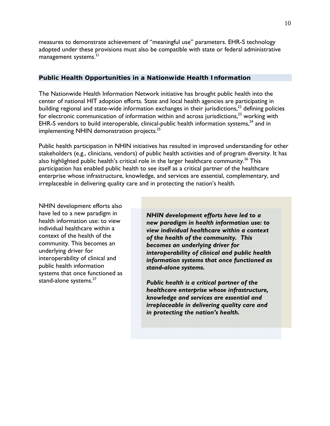measures to demonstrate achievement of "meaningful use" parameters. EHR-S technology adopted under these provisions must also be compatible with state or federal administrative management systems.<sup>21</sup>

## *Public Health Opportunities in a Nationwide Health Information*

The Nationwide Health Information Network initiative has brought public health into the center of national HIT adoption efforts. State and local health agencies are participating in building regional and state-wide information exchanges in their jurisdictions, $^{22}$  defining policies for electronic communication of information within and across jurisdictions, $^{23}$  working with EHR-S vendors to build interoperable, clinical-public health information systems, $^{24}$  and in implementing NHIN demonstration projects.<sup>25</sup>

Public health participation in NHIN initiatives has resulted in improved understanding for other stakeholders (e.g., clinicians, vendors) of public health activities and of program diversity. It has also highlighted public health's critical role in the larger healthcare community.<sup>26</sup> This participation has enabled public health to see itself as a critical partner of the healthcare enterprise whose infrastructure, knowledge, and services are essential, complementary, and irreplaceable in delivering quality care and in protecting the nation's health.

NHIN development efforts also have led to a new paradigm in health information use: to view individual healthcare within a context of the health of the community. This becomes an underlying driver for interoperability of clinical and public health information systems that once functioned as stand-alone systems.<sup>27</sup>

*NHIN development efforts have led to a new paradigm in health information use: to view individual healthcare within a context of the health of the community. This becomes an underlying driver for interoperability of clinical and public health information systems that once functioned as stand-alone systems.* 

*Public health is a critical partner of the healthcare enterprise whose infrastructure, knowledge and services are essential and irreplaceable in delivering quality care and in protecting the nation's health.*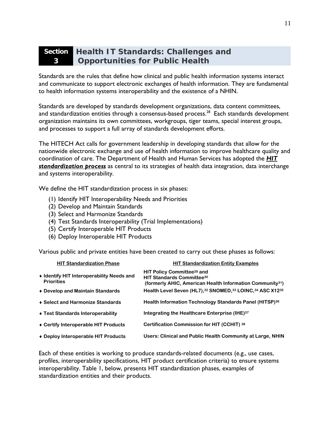#### **Section Health IT Standards: Challenges and 3 Opportunities for Public Health**

Standards are the rules that define how clinical and public health information systems interact and communicate to support electronic exchanges of health information. They are fundamental to health information systems interoperability and the existence of a NHIN.

Standards are developed by standards development organizations, data content committees, and standardization entities through a consensus-based process.<sup>28</sup> Each standards development organization maintains its own committees, workgroups, tiger teams, special interest groups, and processes to support a full array of standards development efforts.

The HITECH Act calls for government leadership in developing standards that allow for the nationwide electronic exchange and use of health information to improve healthcare quality and coordination of care. The Department of Health and Human Services has adopted the *HIT standardization process* as central to its strategies of health data integration, data interchange and systems interoperability.

We define the HIT standardization process in six phases:

- (1) Identify HIT Interoperability Needs and Priorities
- (2) Develop and Maintain Standards
- (3) Select and Harmonize Standards
- (4) Test Standards Interoperability (Trial Implementations)
- (5) Certify Interoperable HIT Products
- (6) Deploy Interoperable HIT Products

Various public and private entities have been created to carry out these phases as follows:

| <b>HIT Standardization Phase</b>                               | <b>HIT Standardization Entity Examples</b>                                                                                                                |
|----------------------------------------------------------------|-----------------------------------------------------------------------------------------------------------------------------------------------------------|
| • Identify HIT Interoperability Needs and<br><b>Priorities</b> | <b>HIT Policy Committee<sup>29</sup> and</b><br><b>HIT Standards Committee30</b><br>(formerly AHIC, American Health Information Community <sup>31</sup> ) |
| ♦ Develop and Maintain Standards                               | Health Level Seven (HL7), 32 SNOMED, 33 LOINC, 34 ASC X1235                                                                                               |
| ♦ Select and Harmonize Standards                               | Health Information Technology Standards Panel (HITSP)36                                                                                                   |
| ◆ Test Standards Interoperability                              | Integrating the Healthcare Enterprise (IHE) <sup>37</sup>                                                                                                 |
| ◆ Certify Interoperable HIT Products                           | <b>Certification Commission for HIT (CCHIT) 38</b>                                                                                                        |
| ◆ Deploy Interoperable HIT Products                            | Users: Clinical and Public Health Community at Large, NHIN                                                                                                |

Each of these entities is working to produce standards-related documents (e.g., use cases, profiles, interoperability specifications, HIT product certification criteria) to ensure systems interoperability. Table 1, below, presents HIT standardization phases, examples of standardization entities and their products.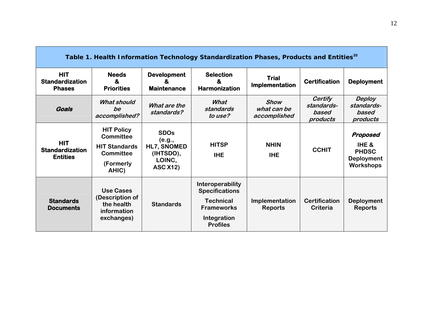| Table 1. Health Information Technology Standardization Phases, Products and Entities <sup>39</sup> |                                                                                                         |                                                                                |                                                                                                                      |                                            |                                            |                                                                            |
|----------------------------------------------------------------------------------------------------|---------------------------------------------------------------------------------------------------------|--------------------------------------------------------------------------------|----------------------------------------------------------------------------------------------------------------------|--------------------------------------------|--------------------------------------------|----------------------------------------------------------------------------|
| <b>HIT</b><br><b>Standardization</b><br><b>Phases</b>                                              | <b>Needs</b><br>&<br><b>Priorities</b>                                                                  | <b>Development</b><br>x.<br><b>Maintenance</b>                                 | <b>Selection</b><br>&<br><b>Harmonization</b>                                                                        | <b>Trial</b><br>Implementation             | <b>Certification</b>                       | <b>Deployment</b>                                                          |
| Goals                                                                                              | <b>What should</b><br>be<br>accomplished?                                                               | What are the<br>standards?                                                     | What<br>standards<br>to use?                                                                                         | <b>Show</b><br>what can be<br>accomplished | Certify<br>standards-<br>based<br>products | <b>Deploy</b><br>standards-<br>based<br>products                           |
| <b>HIT</b><br><b>Standardization</b><br><b>Entities</b>                                            | <b>HIT Policy</b><br><b>Committee</b><br><b>HIT Standards</b><br><b>Committee</b><br>(Formerly<br>AHIC) | <b>SDOs</b><br>(e.g.,<br>HL7, SNOMED<br>(IHTSDO),<br>LOINC,<br><b>ASC X12)</b> | <b>HITSP</b><br><b>IHE</b>                                                                                           | <b>NHIN</b><br><b>IHE</b>                  | <b>CCHIT</b>                               | Proposed<br>IHE &<br><b>PHDSC</b><br><b>Deployment</b><br><b>Workshops</b> |
| <b>Standards</b><br><b>Documents</b>                                                               | <b>Use Cases</b><br>(Description of<br>the health<br>information<br>exchanges)                          | <b>Standards</b>                                                               | Interoperability<br><b>Specifications</b><br><b>Technical</b><br><b>Frameworks</b><br>Integration<br><b>Profiles</b> | Implementation<br><b>Reports</b>           | <b>Certification</b><br>Criteria           | <b>Deployment</b><br><b>Reports</b>                                        |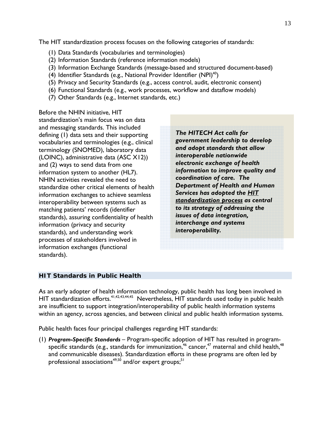The HIT standardization process focuses on the following categories of standards:

- (1) Data Standards (vocabularies and terminologies)
- (2) Information Standards (reference information models)
- (3) Information Exchange Standards (message-based and structured document-based)
- (4) Identifier Standards (e.g., National Provider Identifier (NPI)<sup>40</sup>)
- (5) Privacy and Security Standards (e.g., access control, audit, electronic consent)
- (6) Functional Standards (e.g., work processes, workflow and dataflow models)
- (7) Other Standards (e.g., Internet standards, etc.)

Before the NHIN initiative, HIT standardization's main focus was on data and messaging standards. This included defining (1) data sets and their supporting vocabularies and terminologies (e.g., clinical terminology (SNOMED), laboratory data (LOINC), administrative data (ASC X12)) and (2) ways to send data from one information system to another (HL7). NHIN activities revealed the need to standardize other critical elements of health information exchanges to achieve seamless interoperability between systems such as matching patients' records (identifier standards), assuring confidentiality of health information (privacy and security standards), and understanding work processes of stakeholders involved in information exchanges (functional standards).

*The HITECH Act calls for government leadership to develop and adopt standards that allow interoperable nationwide electronic exchange of health information to improve quality and coordination of care. The Department of Health and Human Services has adopted the HIT standardization process as central to its strategy of addressing the issues of data integration, interchange and systems interoperability.*

## *HIT Standards in Public Health*

As an early adopter of health information technology, public health has long been involved in HIT standardization efforts.<sup>41,42,43,44,45</sup> Nevertheless, HIT standards used today in public health are insufficient to support integration/interoperability of public health information systems within an agency, across agencies, and between clinical and public health information systems.

Public health faces four principal challenges regarding HIT standards:

(1) *Program-Specific Standards* – Program-specific adoption of HIT has resulted in programspecific standards (e.g., standards for immunization,  $46$  cancer,  $47$  maternal and child health,  $48$ and communicable diseases). Standardization efforts in these programs are often led by professional associations<sup>49,50</sup> and/or expert groups;<sup>51</sup>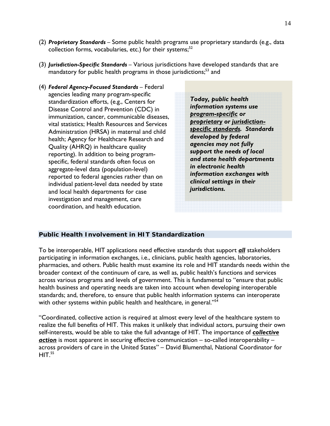- (2) *Proprietary Standards* Some public health programs use proprietary standards (e.g., data collection forms, vocabularies, etc.) for their systems; $52$
- (3) *Jurisdiction-Specific Standards* Various jurisdictions have developed standards that are mandatory for public health programs in those jurisdictions;<sup>53</sup> and
- (4) *Federal Agency-Focused Standards* Federal agencies leading many program-specific standardization efforts, (e.g., Centers for Disease Control and Prevention (CDC) in immunization, cancer, communicable diseases, vital statistics; Health Resources and Services Administration (HRSA) in maternal and child health; Agency for Healthcare Research and Quality (AHRQ) in healthcare quality reporting). In addition to being programspecific, federal standards often focus on aggregate-level data (population-level) reported to federal agencies rather than on individual patient-level data needed by state and local health departments for case investigation and management, care coordination, and health education.

*Today, public health information systems use program-specific or proprietary or jurisdictionspecific standards. Standards developed by federal agencies may not fully support the needs of local and state health departments in electronic health information exchanges with clinical settings in their jurisdictions.* 

## *Public Health Involvement in HIT Standardization*

To be interoperable, HIT applications need effective standards that support *all* stakeholders participating in information exchanges, i.e., clinicians, public health agencies, laboratories, pharmacies, and others. Public health must examine its role and HIT standards needs within the broader context of the continuum of care, as well as, public health's functions and services across various programs and levels of government. This is fundamental to "ensure that public health business and operating needs are taken into account when developing interoperable standards; and, therefore, to ensure that public health information systems can interoperate with other systems within public health and healthcare, in general."<sup>54</sup>

"Coordinated, collective action is required at almost every level of the healthcare system to realize the full benefits of HIT. This makes it unlikely that individual actors, pursuing their own self-interests, would be able to take the full advantage of HIT. The importance of *collective action* is most apparent in securing effective communication – so-called interoperability – across providers of care in the United States" – David Blumenthal, National Coordinator for  $HIT<sup>55</sup>$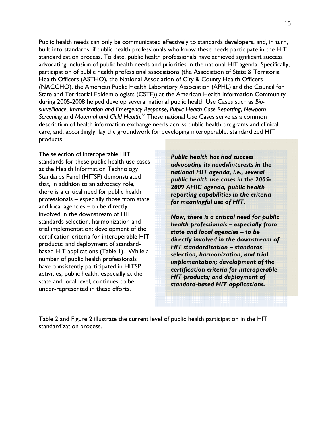Public health needs can only be communicated effectively to standards developers, and, in turn, built into standards, if public health professionals who know these needs participate in the HIT standardization process. To date, public health professionals have achieved significant success advocating inclusion of public health needs and priorities in the national HIT agenda. Specifically, participation of public health professional associations (the Association of State & Territorial Health Officers (ASTHO), the National Association of City & County Health Officers (NACCHO), the American Public Health Laboratory Association (APHL) and the Council for State and Territorial Epidemiologists (CSTE)) at the American Health Information Community during 2005-2008 helped develop several national public health Use Cases such as *Biosurveillance*, *Immunization and Emergency Response*, *Public Health Case Reporting*, *Newborn Screening* and *Maternal and Child Health.56* These national Use Cases serve as a common description of health information exchange needs across public health programs and clinical care, and, accordingly, lay the groundwork for developing interoperable, standardized HIT products.

The selection of interoperable HIT standards for these public health use cases at the Health Information Technology Standards Panel (HITSP) demonstrated that, in addition to an advocacy role, there is a critical need for public health professionals – especially those from state and local agencies – to be directly involved in the downstream of HIT standards selection, harmonization and trial implementation; development of the certification criteria for interoperable HIT products; and deployment of standardbased HIT applications (Table 1). While a number of public health professionals have consistently participated in HITSP activities, public health, especially at the state and local level, continues to be under-represented in these efforts.

*Public health has had success advocating its needs/interests in the national HIT agenda, i.e., several public health use cases in the 2005- 2009 AHIC agenda, public health reporting capabilities in the criteria for meaningful use of HIT.* 

*Now, there is a critical need for public health professionals – especially from state and local agencies – to be directly involved in the downstream of HIT standardization – standards selection, harmonization, and trial implementation; development of the certification criteria for interoperable HIT products; and deployment of standard-based HIT applications.* 

Table 2 and Figure 2 illustrate the current level of public health participation in the HIT standardization process.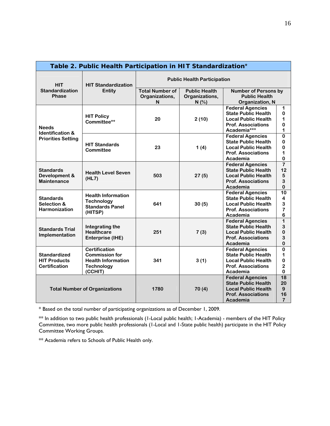| Table 2. Public Health Participation in HIT Standardization*       |                                                                                                            |                                                |                |                                                                                                                              |                                                                         |  |
|--------------------------------------------------------------------|------------------------------------------------------------------------------------------------------------|------------------------------------------------|----------------|------------------------------------------------------------------------------------------------------------------------------|-------------------------------------------------------------------------|--|
| <b>HIT</b>                                                         | <b>HIT Standardization</b><br>Entity                                                                       | <b>Public Health Participation</b>             |                |                                                                                                                              |                                                                         |  |
| <b>Standardization</b>                                             |                                                                                                            | <b>Total Number of</b><br><b>Public Health</b> |                | <b>Number of Persons by</b>                                                                                                  |                                                                         |  |
| <b>Phase</b>                                                       |                                                                                                            | Organizations,                                 | Organizations, | <b>Public Health</b>                                                                                                         |                                                                         |  |
|                                                                    |                                                                                                            | N                                              | N(%            | Organization, N                                                                                                              |                                                                         |  |
| <b>Needs</b>                                                       | <b>HIT Policy</b><br>Committee**                                                                           | 20                                             | 2(10)          | <b>Federal Agencies</b><br><b>State Public Health</b><br><b>Local Public Health</b><br><b>Prof. Associations</b>             | 1<br>$\bf{0}$<br>1<br>$\bf{0}$                                          |  |
| <b>Identification &amp;</b>                                        |                                                                                                            |                                                |                | Academia***                                                                                                                  | 1                                                                       |  |
| <b>Priorities Setting</b>                                          | <b>HIT Standards</b><br>Committee                                                                          | 23                                             | 1(4)           | <b>Federal Agencies</b><br><b>State Public Health</b><br><b>Local Public Health</b><br><b>Prof. Associations</b><br>Academia | $\bf{0}$<br>$\bf{0}$<br>$\bf{0}$<br>1<br>$\pmb{0}$                      |  |
| <b>Standards</b><br>Development &<br><b>Maintenance</b>            | <b>Health Level Seven</b><br>(HL7)                                                                         | 503                                            | 27(5)          | <b>Federal Agencies</b><br><b>State Public Health</b><br><b>Local Public Health</b><br><b>Prof. Associations</b><br>Academia | $\overline{\mathbf{7}}$<br>12<br>5<br>3<br>$\bf{0}$                     |  |
| <b>Standards</b><br>Selection &<br><b>Harmonization</b>            | <b>Health Information</b><br><b>Technology</b><br><b>Standards Panel</b><br>(HITSP)                        | 641                                            | 30(5)          | <b>Federal Agencies</b><br><b>State Public Health</b><br><b>Local Public Health</b><br><b>Prof. Associations</b><br>Academia | $\overline{10}$<br>4<br>3<br>$\overline{\mathbf{z}}$<br>$6\phantom{1}6$ |  |
| <b>Standards Trial</b><br>Implementation                           | Integrating the<br><b>Healthcare</b><br>Enterprise (IHE)                                                   | 251                                            | 7(3)           | <b>Federal Agencies</b><br><b>State Public Health</b><br><b>Local Public Health</b><br><b>Prof. Associations</b><br>Academia | $\overline{1}$<br>3<br>$\bf{0}$<br>3<br>$\bf{0}$                        |  |
| <b>Standardized</b><br><b>HIT Products</b><br><b>Certification</b> | <b>Certification</b><br><b>Commission for</b><br><b>Health Information</b><br><b>Technology</b><br>(CCHIT) | 341                                            | 3(1)           | <b>Federal Agencies</b><br><b>State Public Health</b><br><b>Local Public Health</b><br><b>Prof. Associations</b><br>Academia | $\pmb{0}$<br>1<br>$\pmb{0}$<br>$\mathbf 2$<br>$\mathbf 0$               |  |
| <b>Total Number of Organizations</b>                               |                                                                                                            | 1780                                           | 70(4)          | <b>Federal Agencies</b><br><b>State Public Health</b><br><b>Local Public Health</b><br><b>Prof. Associations</b><br>Academia | 18<br>20<br>9<br>16<br>$\overline{7}$                                   |  |

\* Based on the total number of participating organizations as of December 1, 2009.

\*\* In addition to two public health professionals (1-Local public health; 1-Academia) - members of the HIT Policy Committee, two more public health professionals (1-Local and 1-State public health) participate in the HIT Policy Committee Working Groups.

\*\* Academia refers to Schools of Public Health only.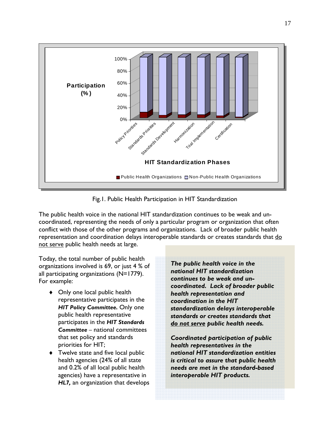

Fig.1. Public Health Participation in HIT Standardization

The public health voice in the national HIT standardization continues to be weak and uncoordinated, representing the needs of only a particular program or organization that often conflict with those of the other programs and organizations. Lack of broader public health representation and coordination delays interoperable standards or creates standards that do not serve public health needs at large.

Today, the total number of public health organizations involved is 69, or just 4 % of all participating organizations (N=1779). For example:

- ◆ Only one local public health representative participates in the *HIT Policy Committee.* Only one public health representative participates in the *HIT Standards Committee* – national committees that set policy and standards priorities for HIT;
- ◆ Twelve state and five local public health agencies (24% of all state and 0.2% of all local public health agencies) have a representative in *HL7,* an organization that develops

*The public health voice in the national HIT standardization continues to be weak and uncoordinated. Lack of broader public health representation and coordination in the HIT standardization delays interoperable standards or creates standards that do not serve public health needs.* 

*Coordinated participation of public health representatives in the national HIT standardization entities is critical to assure that public health needs are met in the standard-based interoperable HIT products.*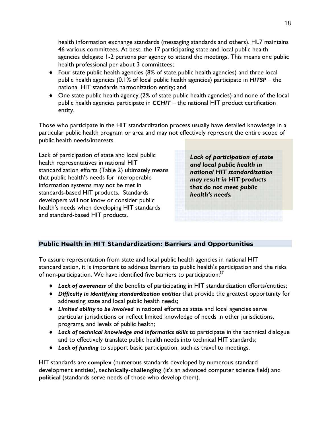health information exchange standards (messaging standards and others). HL7 maintains 46 various committees. At best, the 17 participating state and local public health agencies delegate 1-2 persons per agency to attend the meetings. This means one public health professional per about 3 committees;

- Four state public health agencies (8% of state public health agencies) and three local public health agencies (0.1% of local public health agencies) participate in *HITSP* – the national HIT standards harmonization entity; and
- One state public health agency (2% of state public health agencies) and none of the local public health agencies participate in *CCHIT* – the national HIT product certification entity.

Those who participate in the HIT standardization process usually have detailed knowledge in a particular public health program or area and may not effectively represent the entire scope of public health needs/interests.

Lack of participation of state and local public health representatives in national HIT standardization efforts (Table 2) ultimately means that public health's needs for interoperable information systems may not be met in standards-based HIT products. Standards developers will not know or consider public health's needs when developing HIT standards and standard-based HIT products.

*Lack of participation of state and local public health in national HIT standardization may result in HIT products that do not meet public health's needs.* 

## *Public Health in HIT Standardization: Barriers and Opportunities*

To assure representation from state and local public health agencies in national HIT standardization, it is important to address barriers to public health's participation and the risks of non-participation. We have identified five barriers to participation:<sup>57</sup>

- *Lack of awareness* of the benefits of participating in HIT standardization efforts/entities;
- *Difficulty in identifying standardization entities* that provide the greatest opportunity for addressing state and local public health needs;
- *Limited ability to be involved* in national efforts as state and local agencies serve particular jurisdictions or reflect limited knowledge of needs in other jurisdictions, programs, and levels of public health;
- *Lack of technical knowledge and informatics skills* to participate in the technical dialogue and to effectively translate public health needs into technical HIT standards;
- *Lack of funding* to support basic participation, such as travel to meetings.

HIT standards are **complex** (numerous standards developed by numerous standard development entities), **technically-challenging** (it's an advanced computer science field) and **political** (standards serve needs of those who develop them).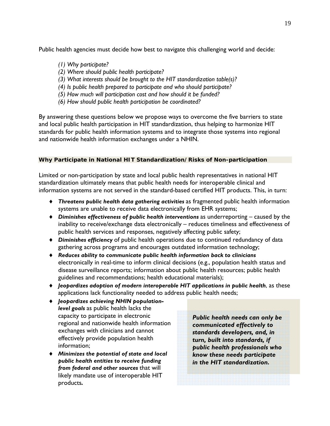Public health agencies must decide how best to navigate this challenging world and decide:

- *(1) Why participate?*
- *(2) Where should public health participate?*
- *(3) What interests should be brought to the HIT standardization table(s)?*
- *(4) Is public health prepared to participate and who should participate?*
- *(5) How much will participation cost and how should it be funded?*
- *(6) How should public health participation be coordinated?*

By answering these questions below we propose ways to overcome the five barriers to state and local public health participation in HIT standardization, thus helping to harmonize HIT standards for public health information systems and to integrate those systems into regional and nationwide health information exchanges under a NHIN.

## *Why Participate in National HIT Standardization/Risks of Non-participation*

Limited or non-participation by state and local public health representatives in national HIT standardization ultimately means that public health needs for interoperable clinical and information systems are not served in the standard-based certified HIT products. This, in turn:

- *Threatens public health data gathering activities* as fragmented public health information systems are unable to receive data electronically from EHR systems;
- *Diminishes effectiveness of public health interventions* as underreporting caused by the inability to receive/exchange data electronically – reduces timeliness and effectiveness of public health services and responses, negatively affecting public safety;
- *Diminishes efficiency* of public health operations due to continued redundancy of data gathering across programs and encourages outdated information technology;
- *Reduces ability to communicate public health information back to clinicians* electronically in real-time to inform clinical decisions (e.g., population health status and disease surveillance reports; information about public health resources; public health guidelines and recommendations; health educational materials);
- *Jeopardizes adoption of modern interoperable HIT applications in public health*, as these applications lack functionality needed to address public health needs;
- *Jeopardizes achieving NHIN populationlevel goals* as public health lacks the capacity to participate in electronic regional and nationwide health information exchanges with clinicians and cannot effectively provide population health information;
- *Minimizes the potential of state and local public health entities to receive funding from federal and other sources* that will likely mandate use of interoperable HIT products*.*

*Public health needs can only be communicated effectively to standards developers, and, in turn, built into standards, if public health professionals who know these needs participate in the HIT standardization.*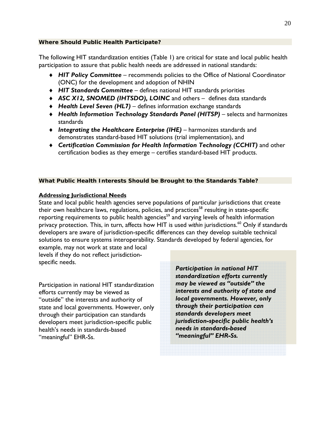The following HIT standardization entities (Table 1) are critical for state and local public health participation to assure that public health needs are addressed in national standards:

- *HIT Policy Committee* recommends policies to the Office of National Coordinator (ONC) for the development and adoption of NHIN
- *HIT Standards Committee* defines national HIT standards priorities
- *ASC X12, SNOMED (IHTSDO), LOINC* and others defines data standards
- *Health Level Seven (HL7)*  defines information exchange standards
- *Health Information Technology Standards Panel (HITSP)* selects and harmonizes standards
- ◆ Integrating the Healthcare Enterprise (IHE) harmonizes standards and demonstrates standard-based HIT solutions (trial implementation), and
- *Certification Commission for Health Information Technology (CCHIT)* and other certification bodies as they emerge – certifies standard-based HIT products.

## *What Public Health Interests Should be Brought to the Standards Table?*

## **Addressing Jurisdictional Needs**

State and local public health agencies serve populations of particular jurisdictions that create their own healthcare laws, regulations, policies, and practices<sup>58</sup> resulting in state-specific reporting requirements to public health agencies<sup>59</sup> and varying levels of health information privacy protection. This, in turn, affects how HIT is used *within* jurisdictions.<sup>60</sup> Only if standards developers are aware of jurisdiction-specific differences can they develop suitable technical solutions to ensure systems interoperability. Standards developed by federal agencies, for

example, may not work at state and local levels if they do not reflect jurisdictionspecific needs.

Participation in national HIT standardization efforts currently may be viewed as "outside" the interests and authority of state and local governments. However, only through their participation can standards developers meet jurisdiction-specific public health's needs in standards-based "meaningful" EHR-Ss.

*Participation in national HIT standardization efforts currently may be viewed as "outside" the interests and authority of state and local governments. However, only through their participation can standards developers meet jurisdiction-specific public health's needs in standards-based "meaningful" EHR-Ss.*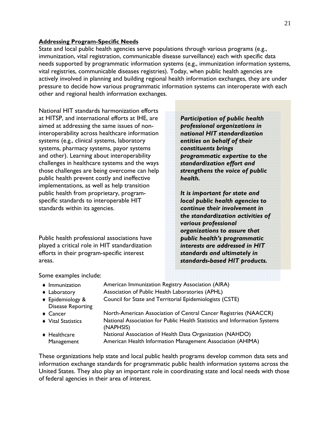## **Addressing Program-Specific Needs**

State and local public health agencies serve populations through various programs (e.g., immunization, vital registration, communicable disease surveillance) each with specific data needs supported by programmatic information systems (e.g., immunization information systems, vital registries, communicable diseases registries). Today, when public health agencies are actively involved in planning and building regional health information exchanges, they are under pressure to decide how various programmatic information systems can interoperate with each other and regional health information exchanges.

National HIT standards harmonization efforts at HITSP, and international efforts at IHE, are aimed at addressing the same issues of noninteroperability across healthcare information systems (e.g., clinical systems, laboratory systems, pharmacy systems, payor systems and other). Learning about interoperability challenges in healthcare systems and the ways those challenges are being overcome can help public health prevent costly and ineffective implementations, as well as help transition public health from proprietary, programspecific standards to interoperable HIT standards within its agencies.

Public health professional associations have played a critical role in HIT standardization efforts in their program-specific interest areas.

*Participation of public health professional organizations in national HIT standardization entities on behalf of their constituents brings programmatic expertise to the standardization effort and strengthens the voice of public health.* 

*It is important for state and local public health agencies to continue their involvement in the standardization activities of various professional organizations to assure that public health's programmatic interests are addressed in HIT standards and ultimately in standards-based HIT products.* 

Some examples include:

| $\bullet$ Immunization     | American Immunization Registry Association (AIRA)                                      |
|----------------------------|----------------------------------------------------------------------------------------|
| $\triangle$ Laboratory     | Association of Public Health Laboratories (APHL)                                       |
| ◆ Epidemiology &           | Council for State and Territorial Epidemiologists (CSTE)                               |
| <b>Disease Reporting</b>   |                                                                                        |
| $\triangle$ Cancer         | North-American Association of Central Cancer Registries (NAACCR)                       |
| ♦ Vital Statistics         | National Association for Public Health Statistics and Information Systems<br>(NAPHSIS) |
| $\triangleleft$ Healthcare | National Association of Health Data Organization (NAHDO)                               |
| Management                 | American Health Information Management Association (AHIMA)                             |

These organizations help state and local public health programs develop common data sets and information exchange standards for programmatic public health information systems across the United States. They also play an important role in coordinating state and local needs with those of federal agencies in their area of interest.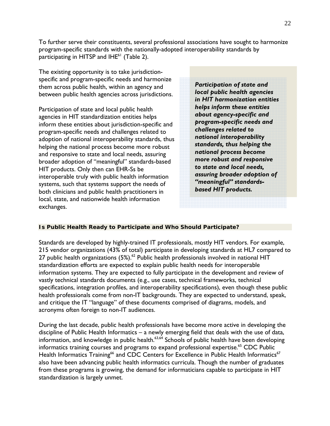To further serve their constituents, several professional associations have sought to harmonize program-specific standards with the nationally-adopted interoperability standards by participating in HITSP and  $IHE<sup>61</sup>$  (Table 2).

The existing opportunity is to take jurisdictionspecific and program-specific needs and harmonize them across public health, within an agency and between public health agencies across jurisdictions.

Participation of state and local public health agencies in HIT standardization entities helps inform these entities about jurisdiction-specific and program-specific needs and challenges related to adoption of national interoperability standards, thus helping the national process become more robust and responsive to state and local needs, assuring broader adoption of "meaningful" standards-based HIT products. Only then can EHR-Ss be interoperable truly with public health information systems, such that systems support the needs of both clinicians and public health practitioners in local, state, and nationwide health information exchanges.

*Participation of state and local public health agencies in HIT harmonization entities helps inform these entities about agency-specific and program-specific needs and challenges related to national interoperability standards, thus helping the national process become more robust and responsive to state and local needs, assuring broader adoption of "meaningful" standardsbased HIT products.*

## *Is Public Health Ready to Participate and Who Should Participate?*

Standards are developed by highly-trained IT professionals, mostly HIT vendors. For example, 215 vendor organizations (43% of total) participate in developing standards at HL7 compared to 27 public health organizations  $(5\%)$ .<sup>62</sup> Public health professionals involved in national HIT standardization efforts are expected to explain public health needs for interoperable information systems. They are expected to fully participate in the development and review of vastly technical standards documents (e.g., use cases, technical frameworks, technical specifications, integration profiles, and interoperability specifications), even though these public health professionals come from non-IT backgrounds. They are expected to understand, speak, and critique the IT "language" of these documents comprised of diagrams, models, and acronyms often foreign to non-IT audiences.

During the last decade, public health professionals have become more active in developing the discipline of Public Health Informatics – a newly emerging field that deals with the use of data, information, and knowledge in public health. $63,64$  Schools of public health have been developing informatics training courses and programs to expand professional expertise.<sup>65</sup> CDC Public Health Informatics Training<sup>66</sup> and CDC Centers for Excellence in Public Health Informatics<sup>67</sup> also have been advancing public health informatics curricula. Though the number of graduates from these programs is growing, the demand for informaticians capable to participate in HIT standardization is largely unmet.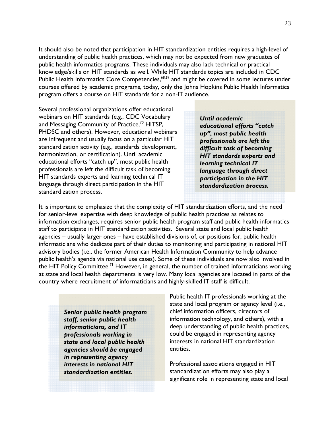It should also be noted that participation in HIT standardization entities requires a high-level of understanding of public health practices, which may not be expected from new graduates of public health informatics programs. These individuals may also lack technical or practical knowledge/skills on HIT standards as well. While HIT standards topics are included in CDC Public Health Informatics Core Competencies,<sup>68,69</sup> and might be covered in some lectures under courses offered by academic programs, today, only the Johns Hopkins Public Health Informatics program offers a course on HIT standards for a non-IT audience.

Several professional organizations offer educational webinars on HIT standards (e.g., CDC Vocabulary and Messaging Community of Practice, $70$  HITSP, PHDSC and others). However, educational webinars are infrequent and usually focus on a particular HIT standardization activity (e.g., standards development, harmonization, or certification). Until academic educational efforts "catch up", most public health professionals are left the difficult task of becoming HIT standards experts and learning technical IT language through direct participation in the HIT standardization process.

*Until academic educational efforts "catch up", most public health professionals are left the difficult task of becoming HIT standards experts and learning technical IT language through direct participation in the HIT standardization process.*

It is important to emphasize that the complexity of HIT standardization efforts, and the need for senior-level expertise with deep knowledge of public health practices as relates to information exchanges, requires senior public health program staff and public health informatics staff to participate in HIT standardization activities. Several state and local public health agencies – usually larger ones – have established divisions of, or positions for, public health informaticians who dedicate part of their duties to monitoring and participating in national HIT advisory bodies (i.e., the former American Health Information Community to help advance public health's agenda via national use cases). Some of these individuals are now also involved in the HIT Policy Committee.<sup>71</sup> However, in general, the number of trained informaticians working at state and local health departments is very low. Many local agencies are located in parts of the country where recruitment of informaticians and highly-skilled IT staff is difficult.

*Senior public health program staff, senior public health informaticians, and IT professionals working in state and local public health agencies should be engaged in representing agency interests in national HIT standardization entities.* 

Public health IT professionals working at the state and local program or agency level (i.e., chief information officers, directors of information technology, and others), with a deep understanding of public health practices, could be engaged in representing agency interests in national HIT standardization entities.

Professional associations engaged in HIT standardization efforts may also play a significant role in representing state and local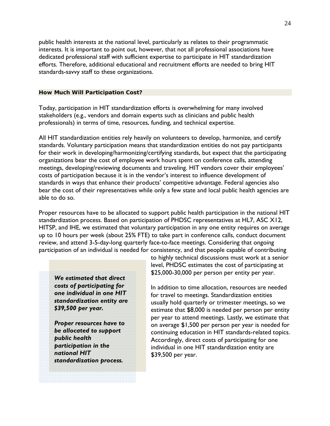public health interests at the national level, particularly as relates to their programmatic interests. It is important to point out, however, that not all professional associations have dedicated professional staff with sufficient expertise to participate in HIT standardization efforts. Therefore, additional educational and recruitment efforts are needed to bring HIT standards-savvy staff to these organizations.

#### *How Much Will Participation Cost?*

Today, participation in HIT standardization efforts is overwhelming for many involved stakeholders (e.g., vendors and domain experts such as clinicians and public health professionals) in terms of time, resources, funding, and technical expertise.

All HIT standardization entities rely heavily on volunteers to develop, harmonize, and certify standards. Voluntary participation means that standardization entities do not pay participants for their work in developing/harmonizing/certifying standards, but expect that the participating organizations bear the cost of employee work hours spent on conference calls, attending meetings, developing/reviewing documents and traveling. HIT vendors cover their employees' costs of participation because it is in the vendor's interest to influence development of standards in ways that enhance their products' competitive advantage. Federal agencies also bear the cost of their representatives while only a few state and local public health agencies are able to do so.

Proper resources have to be allocated to support public health participation in the national HIT standardization process. Based on participation of PHDSC representatives at HL7, ASC X12, HITSP, and IHE, we estimated that voluntary participation in any one entity requires on average up to 10 hours per week (about 25% FTE) to take part in conference calls, conduct document review, and attend 3-5-day-long quarterly face-to-face meetings. Considering that ongoing participation of an individual is needed for consistency, and that people capable of contributing

*We estimated that direct costs of participating for one individual in one HIT standardization entity are \$39,500 per year.* 

*Proper resources have to be allocated to support public health participation in the national HIT standardization process.*

to highly technical discussions must work at a senior level, PHDSC estimates the cost of participating at \$25,000-30,000 per person per entity per year.

In addition to time allocation, resources are needed for travel to meetings. Standardization entities usually hold quarterly or trimester meetings, so we estimate that \$8,000 is needed per person per entity per year to attend meetings. Lastly, we estimate that on average \$1,500 per person per year is needed for continuing education in HIT standards-related topics. Accordingly, direct costs of participating for one individual in one HIT standardization entity are \$39,500 per year.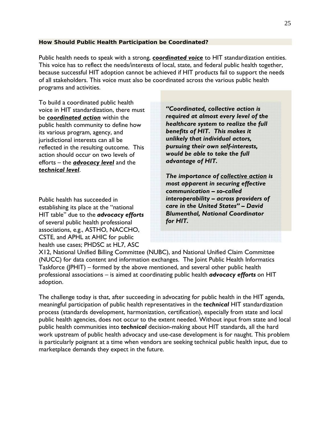## *How Should Public Health Participation be Coordinated?*

Public health needs to speak with a strong, *coordinated voice* to HIT standardization entities. This voice has to reflect the needs/interests of local, state, and federal public health together, because successful HIT adoption cannot be achieved if HIT products fail to support the needs of all stakeholders. This voice must also be coordinated across the various public health programs and activities.

To build a coordinated public health voice in HIT standardization, there must be *coordinated action* within the public health community to define how its various program, agency, and jurisdictional interests can all be reflected in the resulting outcome. This action should occur on two levels of efforts – the *advocacy level* and the *technical level*.

Public health has succeeded in establishing its place at the "national HIT table" due to the *advocacy efforts* of several public health professional associations, e.g., ASTHO, NACCHO, CSTE, and APHL at AHIC for public health use cases; PHDSC at HL7, ASC

*"Coordinated, collective action is required at almost every level of the healthcare system to realize the full benefits of HIT. This makes it unlikely that individual actors, pursuing their own self-interests, would be able to take the full advantage of HIT.* 

*The importance of collective action is most apparent in securing effective communication – so-called interoperability – across providers of care in the United States" – David Blumenthal, National Coordinator for HIT.*

X12, National Unified Billing Committee (NUBC), and National Unified Claim Committee (NUCC) for data content and information exchanges. The Joint Public Health Informatics Taskforce (JPHIT) – formed by the above mentioned, and several other public health professional associations – is aimed at coordinating public health *advocacy efforts* on HIT adoption.

The challenge today is that, after succeeding in advocating for public health in the HIT agenda, meaningful participation of public health representatives in the *technical* HIT standardization process (standards development, harmonization, certification), especially from state and local public health agencies, does not occur to the extent needed. Without input from state and local public health communities into *technical* decision-making about HIT standards, all the hard work upstream of public health advocacy and use-case development is for naught. This problem is particularly poignant at a time when vendors are seeking technical public health input, due to marketplace demands they expect in the future.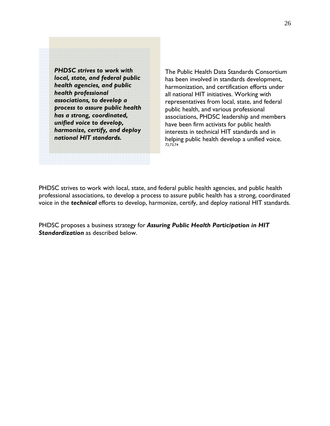*PHDSC strives to work with local, state, and federal public health agencies, and public health professional associations, to develop a process to assure public health has a strong, coordinated, unified voice to develop, harmonize, certify, and deploy national HIT standards.*

The Public Health Data Standards Consortium has been involved in standards development, harmonization, and certification efforts under all national HIT initiatives. Working with representatives from local, state, and federal public health, and various professional associations, PHDSC leadership and members have been firm activists for public health interests in technical HIT standards and in helping public health develop a unified voice. 72,73,74

PHDSC strives to work with local, state, and federal public health agencies, and public health professional associations, to develop a process to assure public health has a strong, coordinated voice in the *technical* efforts to develop, harmonize, certify, and deploy national HIT standards.

PHDSC proposes a business strategy for *Assuring Public Health Participation in HIT Standardization* as described below.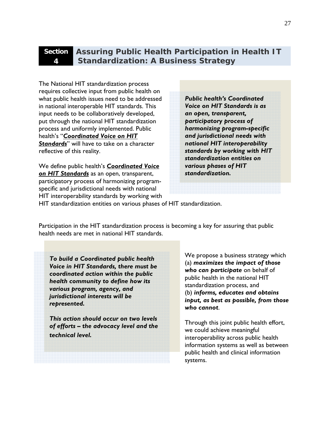# **4**

## **Section Assuring Public Health Participation in Health IT Standardization: A Business Strategy**

The National HIT standardization process requires collective input from public health on what public health issues need to be addressed in national interoperable HIT standards. This input needs to be collaboratively developed, put through the national HIT standardization process and uniformly implemented. Public health's "*Coordinated Voice on HIT Standards*" will have to take on a character reflective of this reality.

We define public health's *Coordinated Voice on HIT Standards* as an open, transparent, participatory process of harmonizing programspecific and jurisdictional needs with national HIT interoperability standards by working with *Public health's Coordinated Voice on HIT Standards is as an open, transparent, participatory process of harmonizing program-specific and jurisdictional needs with national HIT interoperability standards by working with HIT standardization entities on various phases of HIT standardization.*

HIT standardization entities on various phases of HIT standardization.

Participation in the HIT standardization process is becoming a key for assuring that public health needs are met in national HIT standards.

*To build a Coordinated public health Voice in HIT Standards, there must be coordinated action within the public health community to define how its various program, agency, and jurisdictional interests will be represented.* 

*This action should occur on two levels of efforts – the advocacy level and the technical level.*

We propose a business strategy which (a) *maximizes the impact of those who can participate* on behalf of public health in the national HIT standardization process, and (b) *informs, educates and obtains input, as best as possible, from those who cannot*.

Through this joint public health effort, we could achieve meaningful interoperability across public health information systems as well as between public health and clinical information systems.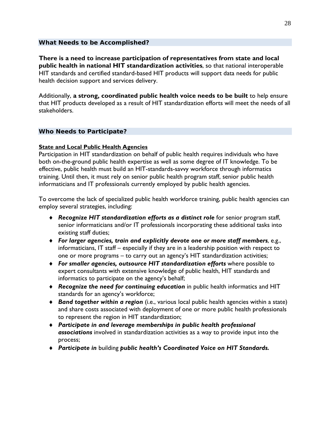## *What Needs to be Accomplished?*

**There is a need to increase participation of representatives from state and local public health in national HIT standardization activities**, so that national interoperable HIT standards and certified standard-based HIT products will support data needs for public health decision support and services delivery.

Additionally, **a strong, coordinated public health voice needs to be built** to help ensure that HIT products developed as a result of HIT standardization efforts will meet the needs of all stakeholders.

## *Who Needs to Participate?*

## **State and Local Public Health Agencies**

Participation in HIT standardization on behalf of public health requires individuals who have both on-the-ground public health expertise as well as some degree of IT knowledge. To be effective, public health must build an HIT-standards-savvy workforce through informatics training. Until then, it must rely on senior public health program staff, senior public health informaticians and IT professionals currently employed by public health agencies.

To overcome the lack of specialized public health workforce training, public health agencies can employ several strategies, including:

- *Recognize HIT standardization efforts as a distinct role* for senior program staff, senior informaticians and/or IT professionals incorporating these additional tasks into existing staff duties;
- *For larger agencies, train and explicitly devote one or more staff members*, e.g., informaticians, IT staff – especially if they are in a leadership position with respect to one or more programs – to carry out an agency's HIT standardization activities;
- *For smaller agencies, outsource HIT standardization efforts* where possible to expert consultants with extensive knowledge of public health, HIT standards and informatics to participate on the agency's behalf;
- *Recognize the need for continuing education* in public health informatics and HIT standards for an agency's workforce;
- *Band together within a region* (i.e., various local public health agencies within a state) and share costs associated with deployment of one or more public health professionals to represent the region in HIT standardization;
- *Participate in and leverage memberships in public health professional associations* involved in standardization activities as a way to provide input into the process;
- *Participate in* building *public health's Coordinated Voice on HIT Standards.*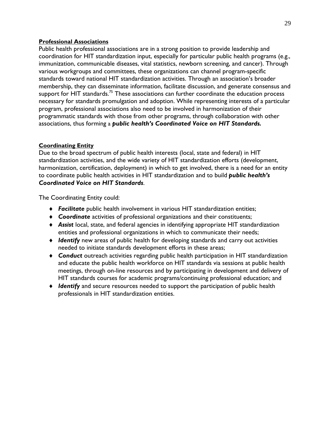## **Professional Associations**

Public health professional associations are in a strong position to provide leadership and coordination for HIT standardization input, especially for particular public health programs (e.g., immunization, communicable diseases, vital statistics, newborn screening, and cancer). Through various workgroups and committees, these organizations can channel program-specific standards toward national HIT standardization activities. Through an association's broader membership, they can disseminate information, facilitate discussion, and generate consensus and support for HIT standards.<sup>75</sup> These associations can further coordinate the education process necessary for standards promulgation and adoption. While representing interests of a particular program, professional associations also need to be involved in harmonization of their programmatic standards with those from other programs, through collaboration with other associations, thus forming a *public health's Coordinated Voice on HIT Standards.* 

## **Coordinating Entity**

Due to the broad spectrum of public health interests (local, state and federal) in HIT standardization activities, and the wide variety of HIT standardization efforts (development, harmonization, certification, deployment) in which to get involved, there is a need for an entity to coordinate public health activities in HIT standardization and to build *public health's Coordinated Voice on HIT Standards*.

The Coordinating Entity could:

- *Facilitate* public health involvement in various HIT standardization entities;
- *Coordinate* activities of professional organizations and their constituents;
- *Assist* local, state, and federal agencies in identifying appropriate HIT standardization entities and professional organizations in which to communicate their needs;
- *Identify* new areas of public health for developing standards and carry out activities needed to initiate standards development efforts in these areas;
- *Conduct* outreach activities regarding public health participation in HIT standardization and educate the public health workforce on HIT standards via sessions at public health meetings, through on-line resources and by participating in development and delivery of HIT standards courses for academic programs/continuing professional education; and
- *Identify* and secure resources needed to support the participation of public health professionals in HIT standardization entities.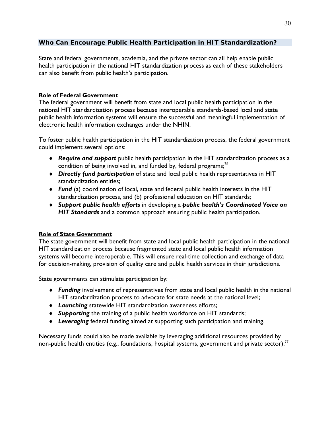## *Who Can Encourage Public Health Participation in HIT Standardization?*

State and federal governments, academia, and the private sector can all help enable public health participation in the national HIT standardization process as each of these stakeholders can also benefit from public health's participation.

## **Role of Federal Government**

The federal government will benefit from state and local public health participation in the national HIT standardization process because interoperable standards-based local and state public health information systems will ensure the successful and meaningful implementation of electronic health information exchanges under the NHIN.

To foster public health participation in the HIT standardization process, the federal government could implement several options:

- *Require and support* public health participation in the HIT standardization process as a condition of being involved in, and funded by, federal programs;<sup>76</sup>
- *Directly fund participation* of state and local public health representatives in HIT standardization entities;
- *Fund* (a) coordination of local, state and federal public health interests in the HIT standardization process, and (b) professional education on HIT standards;
- *Support public health efforts* in developing a *public health's Coordinated Voice on HIT Standards* and a common approach ensuring public health participation.

## **Role of State Government**

The state government will benefit from state and local public health participation in the national HIT standardization process because fragmented state and local public health information systems will become interoperable. This will ensure real-time collection and exchange of data for decision-making, provision of quality care and public health services in their jurisdictions.

State governments can stimulate participation by:

- *Funding* involvement of representatives from state and local public health in the national HIT standardization process to advocate for state needs at the national level;
- *Launching* statewide HIT standardization awareness efforts;
- *Supporting* the training of a public health workforce on HIT standards;
- *Leveraging* federal funding aimed at supporting such participation and training.

Necessary funds could also be made available by leveraging additional resources provided by non-public health entities (e.g., foundations, hospital systems, government and private sector).<sup>77</sup>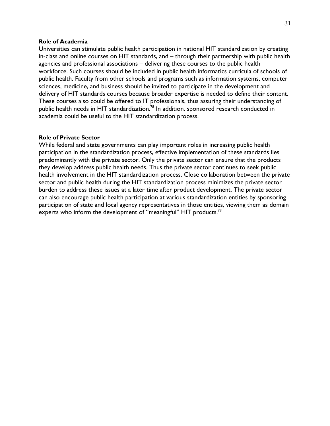## **Role of Academia**

Universities can stimulate public health participation in national HIT standardization by creating in-class and online courses on HIT standards, and – through their partnership with public health agencies and professional associations – delivering these courses to the public health workforce. Such courses should be included in public health informatics curricula of schools of public health. Faculty from other schools and programs such as information systems, computer sciences, medicine, and business should be invited to participate in the development and delivery of HIT standards courses because broader expertise is needed to define their content. These courses also could be offered to IT professionals, thus assuring their understanding of public health needs in HIT standardization.<sup>78</sup> In addition, sponsored research conducted in academia could be useful to the HIT standardization process.

### **Role of Private Sector**

While federal and state governments can play important roles in increasing public health participation in the standardization process, effective implementation of these standards lies predominantly with the private sector. Only the private sector can ensure that the products they develop address public health needs. Thus the private sector continues to seek public health involvement in the HIT standardization process. Close collaboration between the private sector and public health during the HIT standardization process minimizes the private sector burden to address these issues at a later time after product development. The private sector can also encourage public health participation at various standardization entities by sponsoring participation of state and local agency representatives in those entities, viewing them as domain experts who inform the development of "meaningful" HIT products.<sup>79</sup>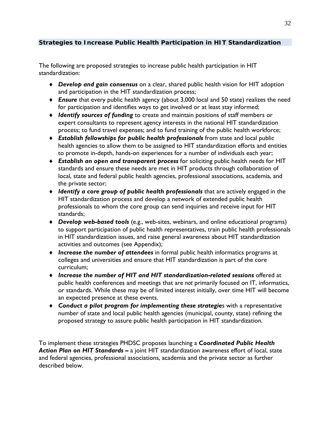## *Strategies to Increase Public Health Participation in HIT Standardization*

The following are proposed strategies to increase public health participation in HIT standardization:

- *Develop and gain consensus* on a clear, shared public health vision for HIT adoption and participation in the HIT standardization process;
- *Ensure* that every public health agency (about 3,000 local and 50 state) realizes the need for participation and identifies ways to get involved or at least stay informed;
- *Identify sources of funding* to create and maintain positions of staff members or expert consultants to represent agency interests in the national HIT standardization process; to fund travel expenses; and to fund training of the public health workforce;
- *Establish fellowships for public health professionals* from state and local public health agencies to allow them to be assigned to HIT standardization efforts and entities to promote in-depth, hands-on experiences for a number of individuals each year;
- *Establish an open and transparent process* for soliciting public health needs for HIT standards and ensure these needs are met in HIT products through collaboration of local, state and federal public health agencies, professional associations, academia, and the private sector;
- *Identify a core group of public health professionals* that are actively engaged in the HIT standardization process and develop a network of extended public health professionals to whom the core group can send inquiries and receive input for HIT standards;
- *Develop web-based tools* (e.g., web-sites, webinars, and online educational programs) to support participation of public health representatives, train public health professionals in HIT standardization issues, and raise general awareness about HIT standardization activities and outcomes (see Appendix);
- *Increase the number of attendees* in formal public health informatics programs at colleges and universities and ensure that HIT standardization is part of the core curriculum;
- *Increase the number of HIT and HIT standardization-related sessions* offered at public health conferences and meetings that are *not* primarily focused on IT, informatics, or standards. While these may be of limited interest initially, over time HIT will become an expected presence at these events.
- *Conduct a pilot program for implementing these strategie*s with a representative number of state and local public health agencies (municipal, county, state) refining the proposed strategy to assure public health participation in HIT standardization.

To implement these strategies PHDSC proposes launching a *Coordinated Public Health Action Plan on HIT Standards* **–** a joint HIT standardization awareness effort of local, state and federal agencies, professional associations, academia and the private sector as further described below.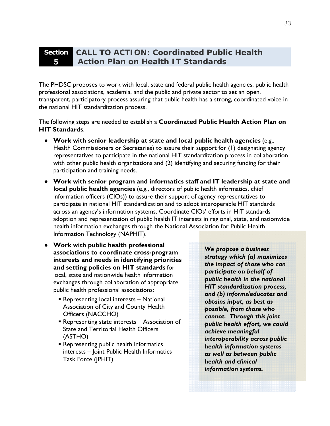#### **Section 5 CALL TO ACTION: Coordinated Public Health Action Plan on Health IT Standards**

The PHDSC proposes to work with local, state and federal public health agencies, public health professional associations, academia, and the public and private sector to set an open, transparent, participatory process assuring that public health has a strong, coordinated voice in the national HIT standardization process.

The following steps are needed to establish a **Coordinated Public Health Action Plan on HIT Standards**:

- **Work with senior leadership at state and local public health agencies** (e.g., Health Commissioners or Secretaries) to assure their support for (1) designating agency representatives to participate in the national HIT standardization process in collaboration with other public health organizations and (2) identifying and securing funding for their participation and training needs.
- **Work with senior program and informatics staff and IT leadership at state and local public health agencies** (e.g., directors of public health informatics, chief information officers (CIOs)) to assure their support of agency representatives to participate in national HIT standardization and to adopt interoperable HIT standards across an agency's information systems. Coordinate CIOs' efforts in HIT standards adoption and representation of public health IT interests in regional, state, and nationwide health information exchanges through the National Association for Public Health Information Technology (NAPHIT).
- **Work with public health professional associations to coordinate cross-program interests and needs in identifying priorities and setting policies on HIT standards** for local, state and nationwide health information exchanges through collaboration of appropriate public health professional associations:
	- Representing local interests National Association of City and County Health Officers (NACCHO)
	- Representing state interests Association of State and Territorial Health Officers (ASTHO)
	- Representing public health informatics interests – Joint Public Health Informatics Task Force (JPHIT)

*We propose a business strategy which (a) maximizes the impact of those who can participate on behalf of public health in the national HIT standardization process, and (b) informs/educates and obtains input, as best as possible, from those who cannot. Through this joint public health effort, we could achieve meaningful interoperability across public health information systems as well as between public health and clinical information systems.*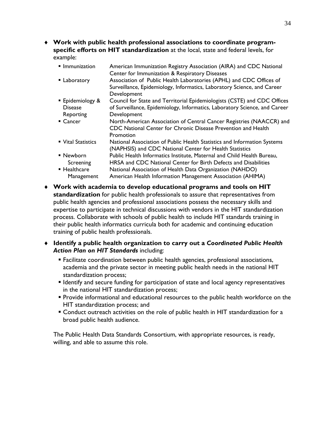**Work with public health professional associations to coordinate programspecific efforts on HIT standardization** at the local, state and federal levels, for example:

- **Immunization** American Immunization Registry Association (AIRA) and CDC National Center for Immunization & Respiratory Diseases Laboratory Association of Public Health Laboratories (APHL) and CDC Offices of
- Surveillance, Epidemiology, Informatics, Laboratory Science, and Career Development
- **Epidemiology &** Disease Reporting Council for State and Territorial Epidemiologists (CSTE) and CDC Offices of Surveillance, Epidemiology, Informatics, Laboratory Science, and Career Development
- Cancer North-American Association of Central Cancer Registries (NAACCR) and CDC National Center for Chronic Disease Prevention and Health Promotion
- **Vital Statistics Stational Association of Public Health Statistics and Information Systems** (NAPHSIS) and CDC National Center for Health Statistics ■ Newborn Screening Public Health Informatics Institute, Maternal and Child Health Bureau, HRSA and CDC National Center for Birth Defects and Disabilities
- Healthcare Management National Association of Health Data Organization (NAHDO) American Health Information Management Association (AHIMA)
- **Work with academia to develop educational programs and tools on HIT standardization** for public health professionals to assure that representatives from public health agencies and professional associations possess the necessary skills and expertise to participate in technical discussions with vendors in the HIT standardization process. Collaborate with schools of public health to include HIT standards training in their public health informatics curricula both for academic and continuing education training of public health professionals.
- **Identify a public health organization to carry out a** *Coordinated Public Health Action Plan on HIT Standards* including:
	- Facilitate coordination between public health agencies, professional associations, academia and the private sector in meeting public health needs in the national HIT standardization process;
	- **I** Identify and secure funding for participation of state and local agency representatives in the national HIT standardization process;
	- **Provide informational and educational resources to the public health workforce on the** HIT standardization process; and
	- Conduct outreach activities on the role of public health in HIT standardization for a broad public health audience.

The Public Health Data Standards Consortium, with appropriate resources, is ready, willing, and able to assume this role.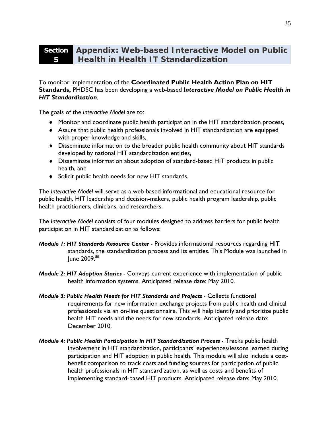#### **Section Appendix: Web-based Interactive Model on Public 5 Health in Health IT Standardization**

To monitor implementation of the **Coordinated Public Health Action Plan on HIT Standards,** PHDSC has been developing a web-based *Interactive Model on Public Health in HIT Standardization*.

The goals of the *Interactive Model* are to:

- Monitor and coordinate public health participation in the HIT standardization process,
- Assure that public health professionals involved in HIT standardization are equipped with proper knowledge and skills,
- Disseminate information to the broader public health community about HIT standards developed by national HIT standardization entities,
- Disseminate information about adoption of standard-based HIT products in public health, and
- ◆ Solicit public health needs for new HIT standards.

The *Interactive Model* will serve as a web-based informational and educational resource for public health, HIT leadership and decision-makers, public health program leadership, public health practitioners, clinicians, and researchers.

The *Interactive Model* consists of four modules designed to address barriers for public health participation in HIT standardization as follows:

- *Module 1: HIT Standards Resource Center* Provides informational resources regarding HIT standards, the standardization process and its entities. This Module was launched in lune 2009.<sup>80</sup>
- *Module 2: HIT Adoption Stories* Conveys current experience with implementation of public health information systems. Anticipated release date: May 2010.
- *Module 3: Public Health Needs for HIT Standards and Projects* Collects functional requirements for new information exchange projects from public health and clinical professionals via an on-line questionnaire. This will help identify and prioritize public health HIT needs and the needs for new standards. Anticipated release date: December 2010.
- *Module 4: Public Health Participation in HIT Standardization Process* Tracks public health involvement in HIT standardization, participants' experiences/lessons learned during participation and HIT adoption in public health. This module will also include a costbenefit comparison to track costs and funding sources for participation of public health professionals in HIT standardization, as well as costs and benefits of implementing standard-based HIT products. Anticipated release date: May 2010.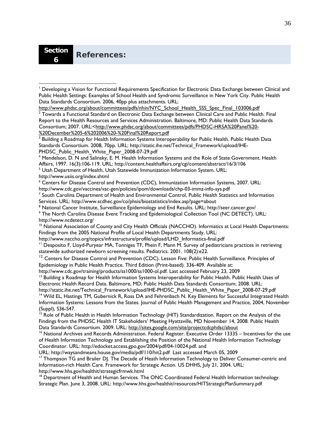http://www.phdsc.org/about/committees/pdfs/nhin/NYC\_School\_Health\_SSS\_Spec\_Final\_103006.pdf  $^2$  Towards a Functional Standard on Electronic Data Exchange between Clinical Care and Public Health. Final Report to the Health Resources and Services Administration. Baltimore, MD: Public Health Data Standards

Consortium; 2007. URL:<http://www.phdsc.org/about/committees/pdfs/PHDSC-HRSA%20Panel%20- %20December%205-6%202006%20-%20Final%20Report.pdf

 $^3$  Building a Roadmap for Health Information Systems Interoperability for Public Health. Public Health Data Standards Consortium. 2008, 70pp. URL: http://static.ihe.net/Technical\_Framework/upload/IHE-PHDSC\_Public\_Health\_White\_Paper\_2008-07-29.pdf

4 Mendelson, D. N and Salinsky, E. M. Health Information Systems and the Role of State Government. Health Affairs, 1997. 16(3):106-119. URL: http://content.healthaffairs.org/cgi/content/abstract/16/3/106

http://www.usiis.org/index.shtml

<u>.</u>

6 Centers for Disease Control and Prevention (CDC), Immunization Information Systems, 2007. URL: http://www.cdc.gov/vaccines/vac-gen/policies/ipom/downloads/chp-03-immz-info-sys.pdf 7

 $<sup>7</sup>$  South Carolina Department of Health and Environmental Control, Public Health Statistics and Information</sup> Services. URL: http://www.scdhec.gov/co/phsis/biostatistics/index.asp?page=about

- <sup>8</sup> National Cancer Institute, Surveillance Epidemiology and End Results. URL: http://seer.cancer.gov/<br><sup>9</sup> The North Carolina Disease Event Tracking and Epidemiological Collection Tool (NC DETECT). I
- The North Carolina Disease Event Tracking and Epidemiological Collection Tool (NC DETECT). URL: http://www.ncdetect.org/

<sup>10</sup> National Association of County and City Health Officials (NACCHO). Informatics at Local Health Departments: Findings from the 2005 National Profile of Local Health Departments Study. URL:

http://www.naccho.org/topics/infrastructure/profile/upload/LHD\_Informatics-final.pdf

<sup>11</sup> Desposito F, Lloyd-Puryear MA, Tonniges TF, Phein F, Mann M. Survey of pediatricians practices in retrieving statewide authorized newborn screening results. Pediatrics. 2001. 108(2):e22.

<sup>12</sup> Centers for Disease Control and Prevention (CDC). Lesson Five: Public Health Surveillance. Principles of Epidemiology in Public Health Practice. Third Edition (Print-based). 336-409. Available at:

http://www.cdc.gov/training/products/ss1000/ss1000-ol.pdf. Last accessed February 23, 2009

<sup>13</sup> Building a Roadmap for Health Information Systems Interoperability for Public Health. Public Health Uses of Electronic Health Record Data. Baltimore, MD; Public Health Data Standards Consortium; 2008. URL:

http://static.ihe.net/Technical\_Framework/upload/IHE-PHDSC\_Public\_Health\_White\_Paper\_2008-07-29.pdf 14 Wild EL, Hastings TM, Gubernick R, Ross DA and Fehrenbach N. Key Elements for Successful Integrated Health Information Systems: Lessons from the States. Journal of Public Health Management and Practice, 2004, November (Suppl), S36-S47.

<sup>15</sup> Role of Public Health in Health Information Technology (HIT) Standardization. Report on the Analysis of the Findings from the PHDSC Health IT Stakeholders' Meeting Hyattsville, MD November 14, 2008. Public Health Data Standards Consortium. 2009. URL: http://sites.google.com/site/projectcdcphdsc/about

<sup>16</sup> National Archives and Records Administration. Federal Register. Executive Order 13335 – Incentives for the use of Health Information Technology and Establishing the Position of the National Health Information Technology Coordinator. URL: http://edocket.access.gpo.gov/2004/pdf/04-10024.pdf. and

URL: http://waysandmeans.house.gov/media/pdf/110/hit2.pdf Last accessed March 05, 2009<br><sup>17</sup> Thompson TG and Brailer DJ. The Decade of Heath Information Technology to Deliver Consumer-centric and Information-rich Health Care. Framework for Strategic Action. US DHHS, July 21, 2004. URL: http://www.hhs.gov/healthit/strategicfrmwk.html

<sup>18</sup> Department of Health and Human Services. The ONC Coordinated Federal Health Information technology Strategic Plan. June 3, 2008. URL: http://www.hhs.gov/healthit/resources/HITStrategicPlanSummary.pdf

<sup>&</sup>lt;sup>1</sup> Developing a Vision for Functional Requirements Specification for Electronic Data Exchange between Clinical and Public Health Settings: Examples of School Health and Syndromic Surveillance in New York City. Public Health Data Standards Consortium. 2006, 40pp plus attachments. URL:

<sup>&</sup>lt;sup>5</sup> Utah Department of Health, Utah Statewide Immunization Information System. URL: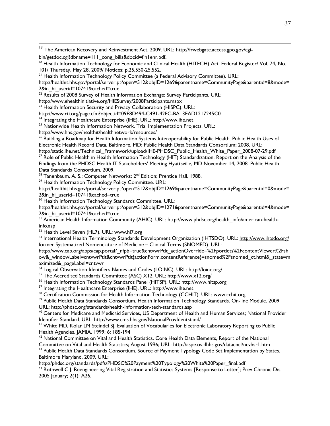<sup>19</sup> The American Recovery and Reinvestment Act. 2009. URL: http://frwebgate.access.gpo.gov/cgibin/getdoc.cgi?dbname=111\_cong\_bills&docid=f:h1enr.pdf.<br><sup>20</sup> Health Information Technology for Economic and Clinical Health (HITECH) Act. Federal Register/ Vol. 74, No. 101/ Thursday, May 28, 2009/ Notices: p.25,550-25,552. <sup>21</sup> Health Information Technology Policy Committee (a Federal Advisory Committee). URL: http://healthit.hhs.gov/portal/server.pt?open=512&objID=1269&parentname=CommunityPage&parentid=8&mode=

2&in hi\_userid=10741&cached=true

 $22$  Results of 2008 Survey of Health Information Exchange: Survey Participants. URL:

http://www.ehealthinitiative.org/HIESurvey/2008Participants.mspx

<sup>23</sup> Health Information Security and Privacy Collaboration (HISPC). URL:

http://www.rti.org/page.cfm?objectid=09E8D494-C491-42FC-BA13EAD1217245C0

24 Integrating the Healthcare Enterprise (IHE). URL: http://www.ihe.net

<sup>25</sup> Nationwide Health Information Network. Trial Implementation Projects. URL:

http://www.hhs.gov/healthit/healthnetwork/resources/<br><sup>26</sup> Building a Roadmap for Health Information Systems Interoperability for Public Health. Public Health Uses of Electronic Health Record Data. Baltimore, MD; Public Health Data Standards Consortium; 2008. URL:

http://static.ihe.net/Technical\_Framework/upload/IHE-PHDSC\_Public\_Health\_White\_Paper\_2008-07-29.pdf <sup>27</sup> Role of Public Health in Health Information Technology (HIT) Standardization. Report on the Analysis of the Findings from the PHDSC Health IT Stakeholders' Meeting Hyattsville, MD November 14, 2008. Public Health Data Standards Consortium. 2009.

<sup>28</sup> Tanenbaum, A. S.; Computer Networks;  $2^{nd}$  Edition; Prentice Hall, 1988.<br><sup>29</sup> Health Information Technology Policy Committee. URL:

http://healthit.hhs.gov/portal/server.pt?open=512&objID=1269&parentname=CommunityPage&parentid=0&mode= 2&in\_hi\_userid=10741&cached=true

30 Health Information Technology Standards Committee. URL:

http://healthit.hhs.gov/portal/server.pt?open=512&objID=1271&parentname=CommunityPage&parentid=4&mode= 2&in hi\_userid=10741&cached=true

 $31$  American Health Information Community (AHIC). URL: http://www.phdsc.org/health\_info/american-healthinfo.asp

<sup>32</sup> Health Level Seven (HL7). URL: www.hl7.org

33 International Health Terminology Standards Development Organization (IHTSDO). URL: http://www.ihtsdo.org/ former Systematized Nomenclature of Medicine – Clinical Terms (SNOMED). URL:

http://www.cap.org/apps/cap.portal?\_nfpb=true&cntvwrPtlt\_actionOverride=%2Fportlets%2FcontentViewer%2Fsh ow&\_windowLabel=cntvwrPtlt&cntvwrPtlt{actionForm.contentReference}=snomed%2Fsnomed\_ct.html&\_state=m aximized&\_pageLabel=cntvwr

34 Logical Observation Identifiers Names and Codes (LOINC). URL: http://loinc.org/

35 The Accredited Standards Committee (ASC) X12. URL: http://www.x12.org/

<sup>36</sup> Health Information Technology Standards Panel (HITSP). URL: http://www.hitsp.org<br><sup>37</sup> Integrating the Healthcare Enterprise (IHE). URL: http://www.ihe.net

<sup>38</sup> Certification Commission for Health Information Technology (CCHIT). URL: www.cchit.org

<sup>39</sup> Public Health Data Standards Consortium. Health Information Technology Standards. On-line Module. 2009

URL: http://phdsc.org/standards/health-information-tech-standards.asp<br><sup>40</sup> Centers for Medicare and Medicaid Services, US Department of Health and Human Services; National Provider Identifier Standard. URL: http://www.cms.hhs.gov/NationalProvIdentstand/<br><sup>41</sup> White MD, Kolar LM Steindel SJ. Evaluation of Vocabularies for Electronic Laboratory Reporting to Public

Health Agencies. JAMIA, 1999; 6: 185-194

 $42$  National Committee on Vital and Health Statistics. Core Health Data Elements, Report of the National Committee on Vital and Health Statistics; August 1996; URL: http://aspe.os.dhhs.gov/datacncl/ncvhsr1.htm 43 Public Health Data Standards Consortium. Source of Payment Typology Code Set Implementation by States.

Baltimore Maryland, 2009. URL:

http://phdsc.org/standards/pdfs/PHDSC%20Payment%20Typology%20White%20Paper\_final.pdf<br><sup>44</sup> Rothwell C J. Reengineering Vital Registration and Statistics Systems [Response to Letter]; Prev Chronic Dis. 2005 January; 2(1): A26.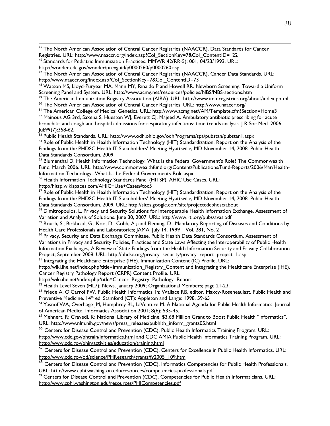45 The North American Association of Central Cancer Registries (NAACCR). Data Standards for Cancer Registries. URL: http://www.naaccr.org/index.asp?Col\_SectionKey=7&Col\_ContentID=122

46 Standards for Pediatric Immunization Practices. MMWR 42(RR-5); 001; 04/23/1993. URL: http://wonder.cdc.gov/wonder/prevguid/p0000260/p0000260.asp

47 The North American Association of Central Cancer Registries (NAACCR). Cancer Data Standards. URL:

http://www.naaccr.org/index.asp?Col\_SectionKey=7&Col\_ContentID=73<br><sup>48</sup> Watson MS, Lloyd-Puryear MA, Mann MY, Rinaldo P and Howell RR. Newborn Screening: Toward a Uniform<br>Screening Panel and System. URL: http://www.acmg.net

<sup>49</sup> The American Immunization Registry Association (AIRA). URL: http://www.immregistries.org/about/index.phtml<br><sup>50</sup> The North American Association of Central Cancer Registries. URL: http://www.naaccr.org/<br><sup>51</sup> The America

 $52$  Mainous AG 3rd, Saxena S, Hueston WJ, Everett CJ, Majeed A. Ambulatory antibiotic prescribing for acute bronchitis and cough and hospital admissions for respiratory infections: time trends analysis. J R Soc Med. 2006 Jul;99(7):358-62.

<sup>53</sup> Public Health Standards. URL: http://www.odh.ohio.gov/odhPrograms/spa/pubstan/pubstan1.aspx

<sup>54</sup> Role of Public Health in Health Information Technology (HIT) Standardization. Report on the Analysis of the Findings from the PHDSC Health IT Stakeholders' Meeting Hyattsville, MD November 14, 2008. Public Health Data Standards Consortium. 2009.

<sup>55</sup> Blumenthal D. Health Information Technology: What Is the Federal Government's Role? The Commonwealth Fund, March 2006. URL: http://www.commonwealthfund.org/Content/Publications/Fund-Reports/2006/Mar/Health-Information-Technology--What-Is-the-Federal-Governments-Role.aspx

56 Health Information Technology Standards Panel (HITSP). AHIC Use Cases. URL:

http://hitsp.wikispaces.com/AHIC+Use+Cases#toc5

<sup>57</sup> Role of Public Health in Health Information Technology (HIT) Standardization. Report on the Analysis of the Findings from the PHDSC Health IT Stakeholders' Meeting Hyattsville, MD November 14, 2008. Public Health Data Standards Consortium. 2009. URL: http://sites.google.com/site/projectcdcphdsc/about

<sup>58</sup> Dimitropoulos, L. Privacy and Security Solutions for Interoperable Health Information Exchange. Assessment of

Variation and Analysis of Solutions. June 30, 2007. URL: http://www.rti.org/pubs/avas.pdf<br><sup>59</sup> Roush, S.; Birkhead, G.; Koo, D.; Cobb, A.; and Fleming, D.; Mandatory Reporting of Diseases and Conditions by<br>Health Care Prof

 $^{60}$  Privacy, Security and Data Exchange Committee, Public Health Data Standards Consortium. Assessment of Variations in Privacy and Security Policies, Practices and State Laws Affecting the Interoperability of Public Health Information Exchanges, A Review of State Findings from the Health Information Security and Privacy Collaboration Project; September 2008. URL: http://phdsc.org/privacy\_security/privacy\_report\_project\_1.asp 61 Integrating the Healthcare Enterprise (IHE). Immunization Content (IC) Profile. URL:

http://wiki.ihe.net/index.php?title=Immunization Registry Content and Integrating the Healthcare Enterprise (IHE). Cancer Registry Pathology Report (CRPR) Content Profile. URL:

http://wiki.ihe.net/index.php?title=Cancer\_Registry\_Pathology\_Report

<sup>62</sup> Health Level Seven (HL7); News. January 2009; Organizational Members; page 21-23.<br><sup>63</sup> Friede A, O'Carrol PW. Public Health Informatics. In: Wallace RB, editor. Maxcy-Roseneaulast. Public Health and<br>Preventive Medici

<sup>64</sup> Yasnof WA, Overhage JM, Humphrey BL, LaVenture M. A National Agenda for Public Health Informatics. Journal of American Medical Informatics Association 2001; 8(6): 535-45.

<sup>65</sup> Mehnert, R; Cravedi, K; National Library of Medicine. \$3.68 Million Grant to Boost Public Health "Informatics". URL: http://www.nlm.nih.gov/news/press\_releases/pubhlth\_inform\_grants05.html

<sup>66</sup> Centers for Disease Control and Prevention (CDC). Public Health Informatics Training Program. URL:

http://www.cdc.gov/phtrain/informatics.html and CDC AMIA Public Health Informatics Training Program. URL:<br>http://www.cdc.gov/phin/activities/education/training.html

 $h^2$  Centers for Disease Control and Prevention (CDC). Centers for Excellence in Public Health Informatics. URL: http://www.cdc.gov/od/science/PHResearch/grants/fy2005\_109.htm

<sup>68</sup> Centers for Disease Control and Prevention (CDC). Informatics Competencies for Public Health Professionals. URL: http://www.cphi.washington.edu/resources/competencies-professionals.pdf

<sup>69</sup> Centers for Disease Control and Prevention (CDC). Competencies for Public Health Informaticians. URL: http://www.cphi.washington.edu/resources/PHICompetencies.pdf